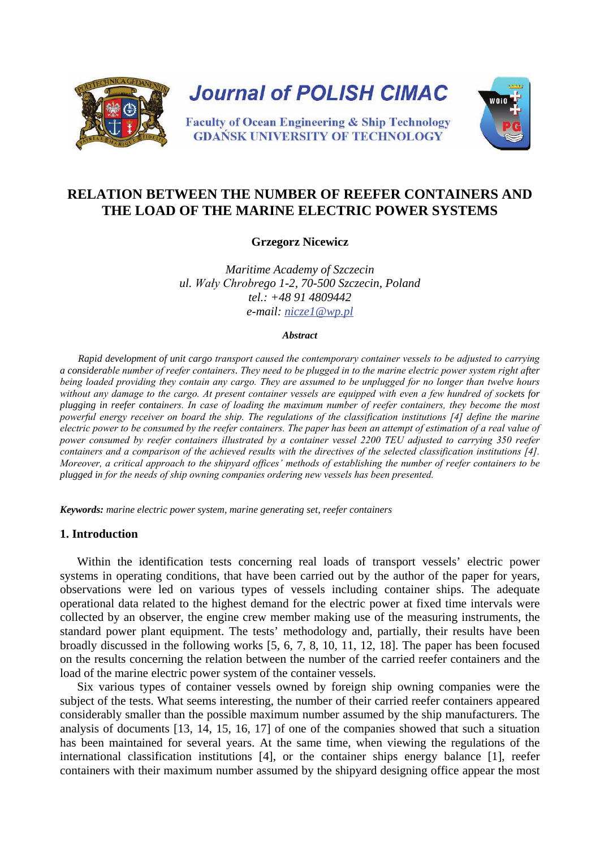

# **RELATION BETWEEN THE NUMBER OF REEFER CONTAINERS AND THE LOAD OF THE MARINE ELECTRIC POWER SYSTEMS**

**Grzegorz Nicewicz**

*Maritime Academy of Szczecin ul. Wały Chrobrego 1-2, 70-500 Szczecin, Poland tel.: +48 91 4809442 e-mail: [nicze1@wp.pl](mailto:nicze1@wp.pl)*

#### *Abstract*

*Rapid development of unit cargo transport caused the contemporary container vessels to be adjusted to carrying a considerable number of reefer containers. They need to be plugged in to the marine electric power system right after being loaded providing they contain any cargo. They are assumed to be unplugged for no longer than twelve hours without any damage to the cargo. At present container vessels are equipped with even a few hundred of sockets for plugging in reefer containers. In case of loading the maximum number of reefer containers, they become the most powerful energy receiver on board the ship. The regulations of the classification institutions [4] define the marine electric power to be consumed by the reefer containers. The paper has been an attempt of estimation of a real value of power consumed by reefer containers illustrated by a container vessel 2200 TEU adjusted to carrying 350 reefer containers and a comparison of the achieved results with the directives of the selected classification institutions [4]. Moreover, a critical approach to the shipyard offices' methods of establishing the number of reefer containers to be plugged in for the needs of ship owning companies ordering new vessels has been presented.*

*Keywords: marine electric power system, marine generating set, reefer containers*

### **1. Introduction**

Within the identification tests concerning real loads of transport vessels' electric power systems in operating conditions, that have been carried out by the author of the paper for years, observations were led on various types of vessels including container ships. The adequate operational data related to the highest demand for the electric power at fixed time intervals were collected by an observer, the engine crew member making use of the measuring instruments, the standard power plant equipment. The tests' methodology and, partially, their results have been broadly discussed in the following works [5, 6, 7, 8, 10, 11, 12, 18]. The paper has been focused on the results concerning the relation between the number of the carried reefer containers and the load of the marine electric power system of the container vessels.

Six various types of container vessels owned by foreign ship owning companies were the subject of the tests. What seems interesting, the number of their carried reefer containers appeared considerably smaller than the possible maximum number assumed by the ship manufacturers. The analysis of documents [13, 14, 15, 16, 17] of one of the companies showed that such a situation has been maintained for several years. At the same time, when viewing the regulations of the international classification institutions [4], or the container ships energy balance [1], reefer containers with their maximum number assumed by the shipyard designing office appear the most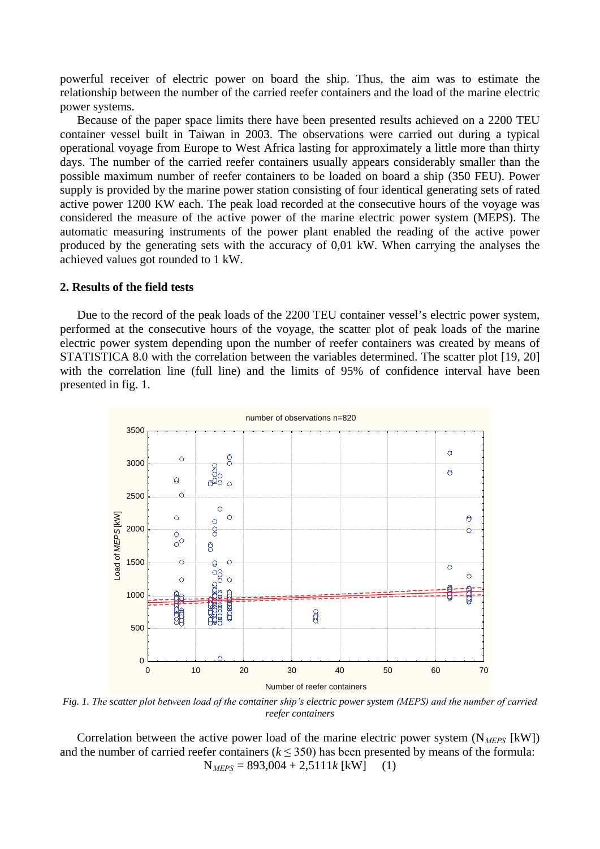powerful receiver of electric power on board the ship. Thus, the aim was to estimate the relationship between the number of the carried reefer containers and the load of the marine electric power systems.

Because of the paper space limits there have been presented results achieved on a 2200 TEU container vessel built in Taiwan in 2003. The observations were carried out during a typical operational voyage from Europe to West Africa lasting for approximately a little more than thirty days. The number of the carried reefer containers usually appears considerably smaller than the possible maximum number of reefer containers to be loaded on board a ship (350 FEU). Power supply is provided by the marine power station consisting of four identical generating sets of rated active power 1200 KW each. The peak load recorded at the consecutive hours of the voyage was considered the measure of the active power of the marine electric power system (MEPS). The automatic measuring instruments of the power plant enabled the reading of the active power produced by the generating sets with the accuracy of 0,01 kW. When carrying the analyses the achieved values got rounded to 1 kW.

#### **2. Results of the field tests**

Due to the record of the peak loads of the 2200 TEU container vessel's electric power system, performed at the consecutive hours of the voyage, the scatter plot of peak loads of the marine electric power system depending upon the number of reefer containers was created by means of STATISTICA 8.0 with the correlation between the variables determined. The scatter plot [19, 20] with the correlation line (full line) and the limits of 95% of confidence interval have been presented in fig. 1.



*Fig. 1. The scatter plot between load of the container ship's electric power system (MEPS) and the number of carried reefer containers*

Correlation between the active power load of the marine electric power system (N*MEPS* [kW])  $N_{MEPS} = 893,004 + 2,5111k$  [kW] (1) and the number of carried reefer containers ( $k \leq 350$ ) has been presented by means of the formula: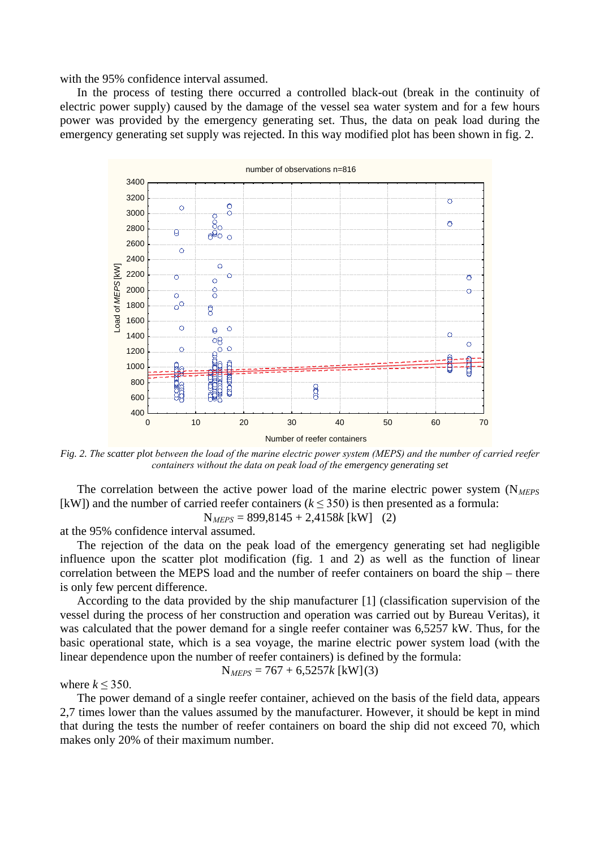with the 95% confidence interval assumed.

In the process of testing there occurred a controlled black-out (break in the continuity of electric power supply) caused by the damage of the vessel sea water system and for a few hours power was provided by the emergency generating set. Thus, the data on peak load during the emergency generating set supply was rejected. In this way modified plot has been shown in fig. 2.



*Fig. 2. The scatter plot between the load of the marine electric power system (MEPS) and the number of carried reefer containers without the data on peak load of the emergency generating set* 

The correlation between the active power load of the marine electric power system (N*MEPS* [kW]) and the number of carried reefer containers ( $k \leq 350$ ) is then presented as a formula:

N *MEPS* = 899,8145 + 2,4158*k* [kW] (2)

at the 95% confidence interval assumed.

The rejection of the data on the peak load of the emergency generating set had negligible influence upon the scatter plot modification (fig. 1 and 2) as well as the function of linear correlation between the MEPS load and the number of reefer containers on board the ship – there is only few percent difference.

According to the data provided by the ship manufacturer [1] (classification supervision of the vessel during the process of her construction and operation was carried out by Bureau Veritas), it was calculated that the power demand for a single reefer container was 6,5257 kW. Thus, for the basic operational state, which is a sea voyage, the marine electric power system load (with the linear dependence upon the number of reefer containers) is defined by the formula:  $N_{MEPS} = 767 + 6{,}5257k$  [kW](3)

where  $k \leq 350$ .

The power demand of a single reefer container, achieved on the basis of the field data, appears 2,7 times lower than the values assumed by the manufacturer. However, it should be kept in mind that during the tests the number of reefer containers on board the ship did not exceed 70, which makes only 20% of their maximum number.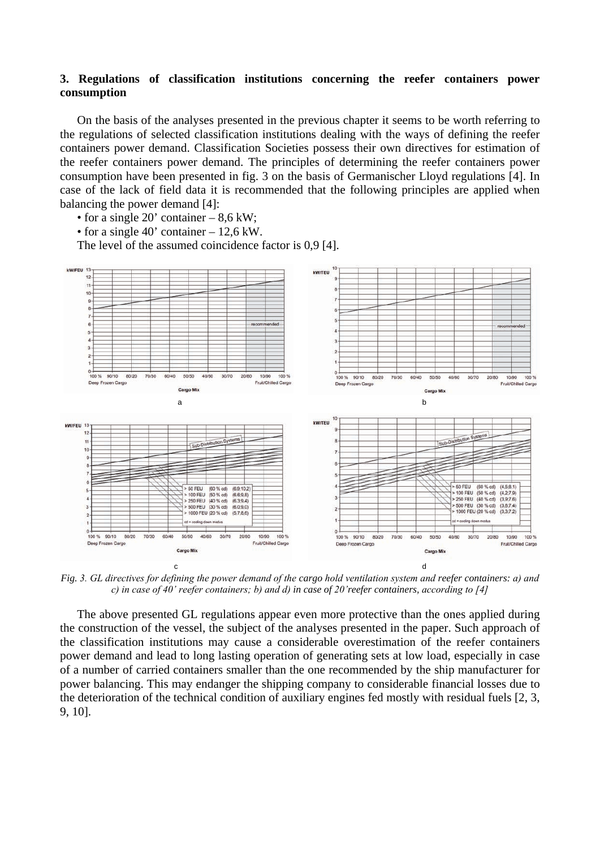## **3. Regulations of classification institutions concerning the reefer containers power consumption**

On the basis of the analyses presented in the previous chapter it seems to be worth referring to the regulations of selected classification institutions dealing with the ways of defining the reefer containers power demand. Classification Societies possess their own directives for estimation of the reefer containers power demand. The principles of determining the reefer containers power consumption have been presented in fig. 3 on the basis of Germanischer Lloyd regulations [4]. In case of the lack of field data it is recommended that the following principles are applied when balancing the power demand [4]:

- for a single 20' container  $-8.6 \text{ kW}$ ;
- for a single 40' container 12,6 kW.

The level of the assumed coincidence factor is 0,9 [4].



*Fig. 3. GL directives for defining the power demand of the cargo hold ventilation system and reefer containers: a) and c) in case of 40' reefer containers; b) and d) in case of 20'reefer containers, according to [4]*

The above presented GL regulations appear even more protective than the ones applied during the construction of the vessel, the subject of the analyses presented in the paper. Such approach of the classification institutions may cause a considerable overestimation of the reefer containers power demand and lead to long lasting operation of generating sets at low load, especially in case of a number of carried containers smaller than the one recommended by the ship manufacturer for power balancing. This may endanger the shipping company to considerable financial losses due to the deterioration of the technical condition of auxiliary engines fed mostly with residual fuels [2, 3, 9, 10].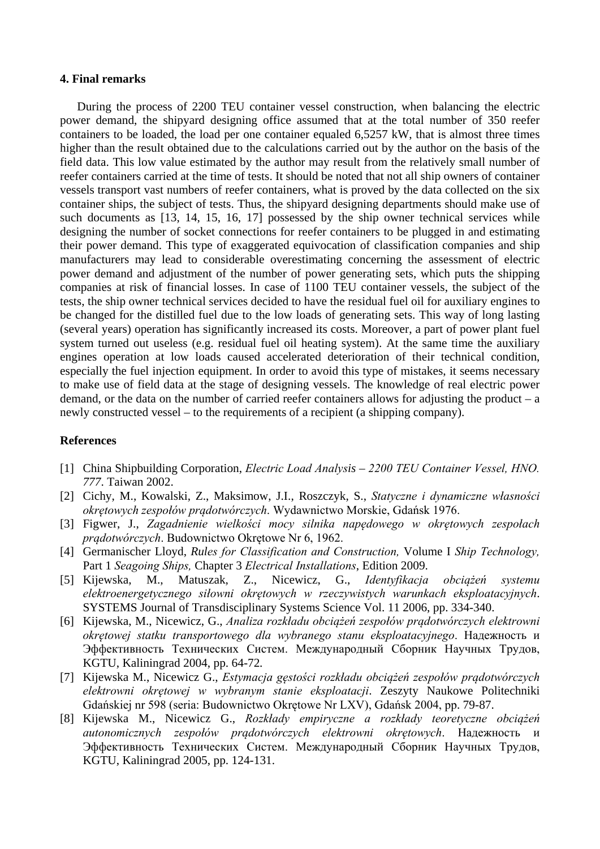#### **4. Final remarks**

During the process of 2200 TEU container vessel construction, when balancing the electric power demand, the shipyard designing office assumed that at the total number of 350 reefer containers to be loaded, the load per one container equaled 6,5257 kW, that is almost three times higher than the result obtained due to the calculations carried out by the author on the basis of the field data. This low value estimated by the author may result from the relatively small number of reefer containers carried at the time of tests. It should be noted that not all ship owners of container vessels transport vast numbers of reefer containers, what is proved by the data collected on the six container ships, the subject of tests. Thus, the shipyard designing departments should make use of such documents as [13, 14, 15, 16, 17] possessed by the ship owner technical services while designing the number of socket connections for reefer containers to be plugged in and estimating their power demand. This type of exaggerated equivocation of classification companies and ship manufacturers may lead to considerable overestimating concerning the assessment of electric power demand and adjustment of the number of power generating sets, which puts the shipping companies at risk of financial losses. In case of 1100 TEU container vessels, the subject of the tests, the ship owner technical services decided to have the residual fuel oil for auxiliary engines to be changed for the distilled fuel due to the low loads of generating sets. This way of long lasting (several years) operation has significantly increased its costs. Moreover, a part of power plant fuel system turned out useless (e.g. residual fuel oil heating system). At the same time the auxiliary engines operation at low loads caused accelerated deterioration of their technical condition, especially the fuel injection equipment. In order to avoid this type of mistakes, it seems necessary to make use of field data at the stage of designing vessels. The knowledge of real electric power demand, or the data on the number of carried reefer containers allows for adjusting the product  $- a$ newly constructed vessel – to the requirements of a recipient (a shipping company).

### **References**

- [1] China Shipbuilding Corporation, *Electric Load Analysis 2200 TEU Container Vessel, HNO. 777*. Taiwan 2002.
- [2] Cichy, M., Kowalski, Z., Maksimow, J.I., Roszczyk, S., *Statyczne i dynamiczne własności okrętowych zespołów prądotwórczych*. Wydawnictwo Morskie, Gdańsk 1976.
- [3] Figwer, J., *Zagadnienie wielkości mocy silnika napędowego w okrętowych zespołach prądotwórczych*. Budownictwo Okrętowe Nr 6, 1962.
- [4] Germanischer Lloyd, *Rules for Classification and Construction,* Volume I *Ship Technology,*  Part 1 *Seagoing Ships,* Chapter 3 *Electrical Installations*, Edition 2009.
- [5] Kijewska, M., Matuszak, Z., Nicewicz, G., *Identyfikacja obciążeń systemu elektroenergetycznego siłowni okrętowych w rzeczywistych warunkach eksploatacyjnych*. SYSTEMS Journal of Transdisciplinary Systems Science Vol. 11 2006, pp. 334-340.
- [6] Kijewska, M., Nicewicz, G., *Analiza rozkładu obciążeń zespołów prądotwórczych elektrowni okrętowej statku transportowego dla wybranego stanu eksploatacyjnego*. Надежность и Эффективность Технических Систем. Международный Сборник Научных Трудов, KGTU, Kaliningrad 2004, pp. 64-72*.*
- [7] Kijewska M., Nicewicz G., *Estymacja gęstości rozkładu obciążeń zespołów prądotwórczych elektrowni okrętowej w wybranym stanie eksploatacji*. Zeszyty Naukowe Politechniki Gdańskiej nr 598 (seria: Budownictwo Okrętowe Nr LXV), Gdańsk 2004, pp. 79-87.
- [8] Kijewska M., Nicewicz G., *Rozkłady empiryczne a rozkłady teoretyczne obciążeń autonomicznych zespołów prądotwórczych elektrowni okrętowych*. Надежность и Эффективность Технических Систем. Международный Сборник Научных Трудов, KGTU, Kaliningrad 2005, pp. 124-131.